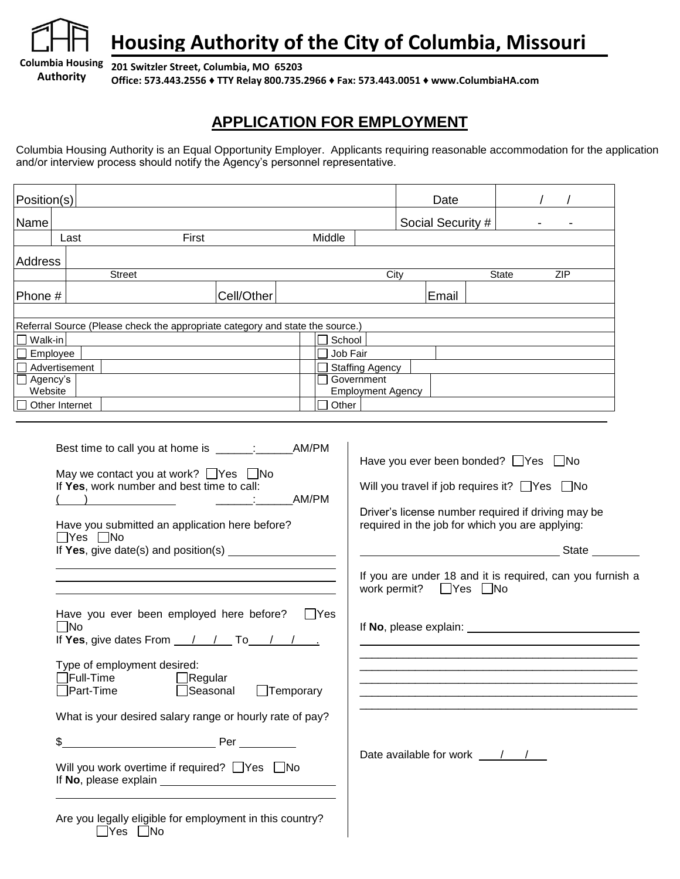**Authority**

**Housing Authority of the City of Columbia, Missouri**

**Columbia Housing 201 Switzler Street, Columbia, MO 65203**

**Office: 573.443.2556 ♦ TTY Relay 800.735.2966 ♦ Fax: 573.443.0051 ♦ www.ColumbiaHA.com**

## **APPLICATION FOR EMPLOYMENT**

Columbia Housing Authority is an Equal Opportunity Employer. Applicants requiring reasonable accommodation for the application and/or interview process should notify the Agency's personnel representative.

| Position(s)                                                                            |                                                                                                                                                                                                                            |            |                             | Date                                                                    |                                                                                                                                                                                                                                                                                                           |       |  |            |
|----------------------------------------------------------------------------------------|----------------------------------------------------------------------------------------------------------------------------------------------------------------------------------------------------------------------------|------------|-----------------------------|-------------------------------------------------------------------------|-----------------------------------------------------------------------------------------------------------------------------------------------------------------------------------------------------------------------------------------------------------------------------------------------------------|-------|--|------------|
| Name                                                                                   |                                                                                                                                                                                                                            |            |                             | Social Security #                                                       |                                                                                                                                                                                                                                                                                                           |       |  |            |
| Last                                                                                   | First                                                                                                                                                                                                                      |            | Middle                      |                                                                         |                                                                                                                                                                                                                                                                                                           |       |  |            |
| Address                                                                                | <b>Street</b>                                                                                                                                                                                                              |            |                             | City                                                                    |                                                                                                                                                                                                                                                                                                           | State |  | <b>ZIP</b> |
| Phone #                                                                                |                                                                                                                                                                                                                            | Cell/Other |                             |                                                                         | Email                                                                                                                                                                                                                                                                                                     |       |  |            |
| Walk-in<br>$\Box$ Employee<br>Advertisement<br>□ Agency's<br>Website<br>Other Internet | Referral Source (Please check the appropriate category and state the source.)                                                                                                                                              |            | School<br>Job Fair<br>Other | <b>Staffing Agency</b><br>$\Box$ Government<br><b>Employment Agency</b> |                                                                                                                                                                                                                                                                                                           |       |  |            |
|                                                                                        | Best time to call you at home is ______: _________ AM/PM<br>May we contact you at work? $\Box$ Yes $\Box$ No<br>If Yes, work number and best time to call:<br>Have you submitted an application here before?<br>∏Yes □No   |            | AM/PM                       | work permit?                                                            | Have you ever been bonded? $\Box$ Yes $\Box$ No<br>Will you travel if job requires it? $\Box$ Yes $\Box$ No<br>Driver's license number required if driving may be<br>required in the job for which you are applying:<br>If you are under 18 and it is required, can you furnish a<br>$\Box$ Yes $\Box$ No |       |  | State      |
| $\Box$ No                                                                              | Have you ever been employed here before?<br>If Yes, give dates From $\frac{1}{1}$ / To $\frac{1}{1}$ / $\frac{1}{1}$<br>Type of employment desired:<br>$\overline{\mathsf{F}}$ ull-Time<br>$\Box$ Regular<br>Part-Time     |            | $\Box$ Yes                  |                                                                         | If No, please explain: <u>contract the set of the set of the set of the set of the set of the set of the set of the set of the set of the set of the set of the set of the set of the set of the set of the set of the set of th</u>                                                                      |       |  |            |
| $\frac{1}{2}$                                                                          | $\Box$ Temporary<br>Seasonal<br>What is your desired salary range or hourly rate of pay?<br>Will you work overtime if required? Nes No<br>Are you legally eligible for employment in this country?<br>$\Box$ Yes $\Box$ No |            |                             |                                                                         |                                                                                                                                                                                                                                                                                                           |       |  |            |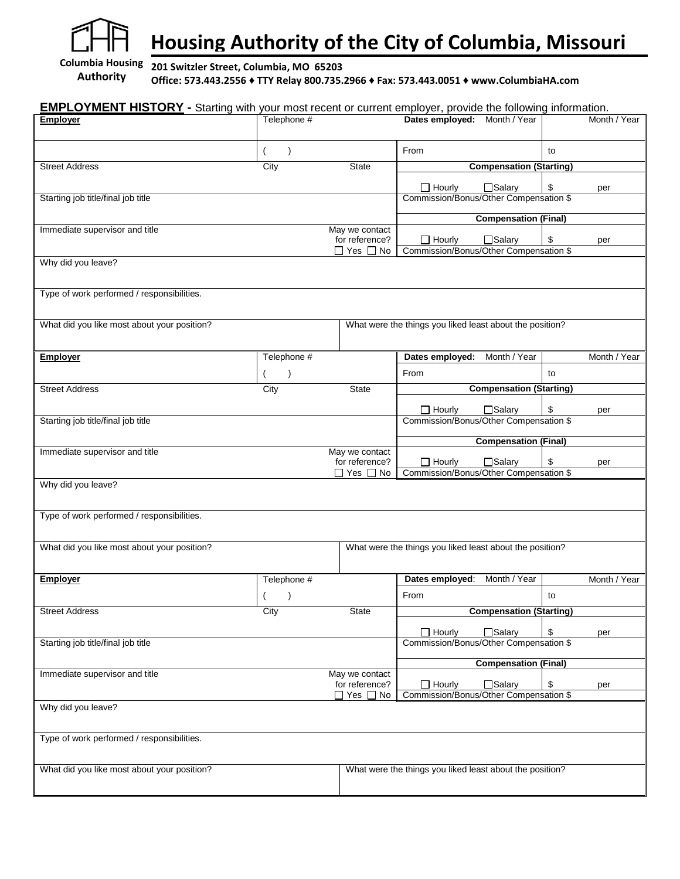

**Housing Authority of the City of Columbia, Missouri**

**Columbia Housing Authority**

**201 Switzler Street, Columbia, MO 65203 Office: 573.443.2556 ♦ TTY Relay 800.735.2966 ♦ Fax: 573.443.0051 ♦ www.ColumbiaHA.com**

| <b>EMPLOYMENT HISTORY</b> - Starting with your most recent or current employer, provide the following information. |             |                                        |                                                          |                                |    |              |
|--------------------------------------------------------------------------------------------------------------------|-------------|----------------------------------------|----------------------------------------------------------|--------------------------------|----|--------------|
| <b>Employer</b>                                                                                                    | Telephone # |                                        | Dates employed: Month / Year                             |                                |    | Month / Year |
|                                                                                                                    |             |                                        |                                                          |                                |    |              |
|                                                                                                                    | $\lambda$   |                                        | From                                                     |                                | to |              |
| <b>Street Address</b>                                                                                              | City        | <b>State</b>                           |                                                          | <b>Compensation (Starting)</b> |    |              |
|                                                                                                                    |             |                                        |                                                          |                                |    |              |
|                                                                                                                    |             |                                        | $\Box$ Hourly                                            | □Salary                        | \$ | per          |
| Starting job title/final job title                                                                                 |             |                                        | Commission/Bonus/Other Compensation \$                   |                                |    |              |
|                                                                                                                    |             |                                        |                                                          | <b>Compensation (Final)</b>    |    |              |
| Immediate supervisor and title                                                                                     |             | May we contact                         |                                                          |                                |    |              |
|                                                                                                                    |             | for reference?                         | $\Box$ Hourly<br>Commission/Bonus/Other Compensation \$  | □Salary                        | \$ | per          |
| Why did you leave?                                                                                                 |             | $\Box$ Yes $\Box$ No                   |                                                          |                                |    |              |
|                                                                                                                    |             |                                        |                                                          |                                |    |              |
|                                                                                                                    |             |                                        |                                                          |                                |    |              |
| Type of work performed / responsibilities.                                                                         |             |                                        |                                                          |                                |    |              |
|                                                                                                                    |             |                                        |                                                          |                                |    |              |
| What did you like most about your position?                                                                        |             |                                        | What were the things you liked least about the position? |                                |    |              |
|                                                                                                                    |             |                                        |                                                          |                                |    |              |
| <b>Employer</b>                                                                                                    | Telephone # |                                        | Dates employed:                                          | Month / Year                   |    | Month / Year |
|                                                                                                                    | $\lambda$   |                                        | From                                                     |                                | to |              |
| <b>Street Address</b>                                                                                              | City        | <b>State</b>                           |                                                          | <b>Compensation (Starting)</b> |    |              |
|                                                                                                                    |             |                                        |                                                          |                                |    |              |
|                                                                                                                    |             |                                        | $\Box$ Hourly                                            | □Salary                        | \$ | per          |
| Starting job title/final job title                                                                                 |             |                                        | Commission/Bonus/Other Compensation \$                   |                                |    |              |
|                                                                                                                    |             |                                        |                                                          | <b>Compensation (Final)</b>    |    |              |
| Immediate supervisor and title                                                                                     |             | May we contact                         |                                                          |                                |    |              |
|                                                                                                                    |             | for reference?<br>$\Box$ Yes $\Box$ No | $\Box$ Hourly<br>Commission/Bonus/Other Compensation \$  | □Salary                        | \$ | per          |
| Why did you leave?                                                                                                 |             |                                        |                                                          |                                |    |              |
|                                                                                                                    |             |                                        |                                                          |                                |    |              |
|                                                                                                                    |             |                                        |                                                          |                                |    |              |
| Type of work performed / responsibilities.                                                                         |             |                                        |                                                          |                                |    |              |
|                                                                                                                    |             |                                        |                                                          |                                |    |              |
| What did you like most about your position?                                                                        |             |                                        | What were the things you liked least about the position? |                                |    |              |
|                                                                                                                    |             |                                        |                                                          |                                |    |              |
| <b>Employer</b>                                                                                                    | Telephone # |                                        | Dates employed:                                          | Month / Year                   |    | Month / Year |
|                                                                                                                    | $($ $)$     |                                        | From                                                     |                                | to |              |
| <b>Street Address</b>                                                                                              | City        | State                                  |                                                          | <b>Compensation (Starting)</b> |    |              |
|                                                                                                                    |             |                                        |                                                          |                                |    |              |
|                                                                                                                    |             |                                        | $\Box$ Hourly                                            | $\Box$ Salary                  | \$ | per          |
| Starting job title/final job title                                                                                 |             |                                        | Commission/Bonus/Other Compensation \$                   |                                |    |              |
|                                                                                                                    |             |                                        | <b>Compensation (Final)</b>                              |                                |    |              |
| Immediate supervisor and title                                                                                     |             | May we contact                         |                                                          |                                |    |              |
|                                                                                                                    |             | for reference?<br>$\Box$ Yes $\Box$ No | $\Box$ Hourly<br>Commission/Bonus/Other Compensation \$  | □Salary                        | \$ | per          |
| Why did you leave?                                                                                                 |             |                                        |                                                          |                                |    |              |
|                                                                                                                    |             |                                        |                                                          |                                |    |              |
|                                                                                                                    |             |                                        |                                                          |                                |    |              |
| Type of work performed / responsibilities.                                                                         |             |                                        |                                                          |                                |    |              |
|                                                                                                                    |             |                                        |                                                          |                                |    |              |
| What did you like most about your position?                                                                        |             |                                        | What were the things you liked least about the position? |                                |    |              |
|                                                                                                                    |             |                                        |                                                          |                                |    |              |
|                                                                                                                    |             |                                        |                                                          |                                |    |              |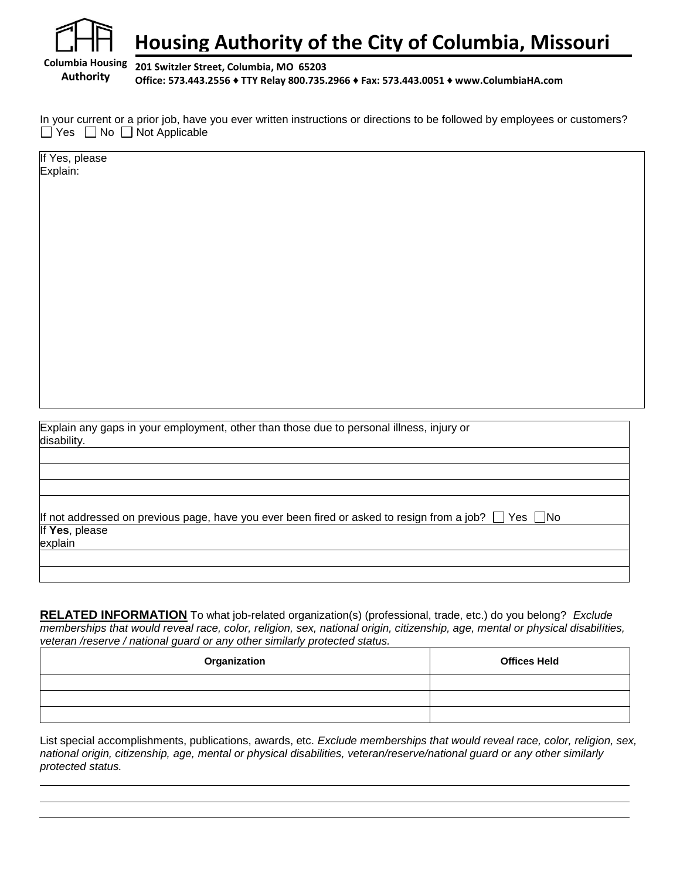

## **Housing Authority of the City of Columbia, Missouri**

**201 Switzler Street, Columbia, MO 65203 Office: 573.443.2556 ♦ TTY Relay 800.735.2966 ♦ Fax: 573.443.0051 ♦ www.ColumbiaHA.com**

In your current or a prior job, have you ever written instructions or directions to be followed by employees or customers?  $\Box$  Yes  $\Box$  No  $\Box$  Not Applicable

If Yes, please Explain:

Explain any gaps in your employment, other than those due to personal illness, injury or disability.

If not addressed on previous page, have you ever been fired or asked to resign from a job?  $\Box$  Yes  $\Box$ No If **Yes**, please explain

**RELATED INFORMATION** To what job-related organization(s) (professional, trade, etc.) do you belong? *Exclude memberships that would reveal race, color, religion, sex, national origin, citizenship, age, mental or physical disabilities, veteran /reserve / national guard or any other similarly protected status.*

| Organization | <b>Offices Held</b> |
|--------------|---------------------|
|              |                     |
|              |                     |
|              |                     |

List special accomplishments, publications, awards, etc. *Exclude memberships that would reveal race, color, religion, sex, national origin, citizenship, age, mental or physical disabilities, veteran/reserve/national guard or any other similarly protected status.*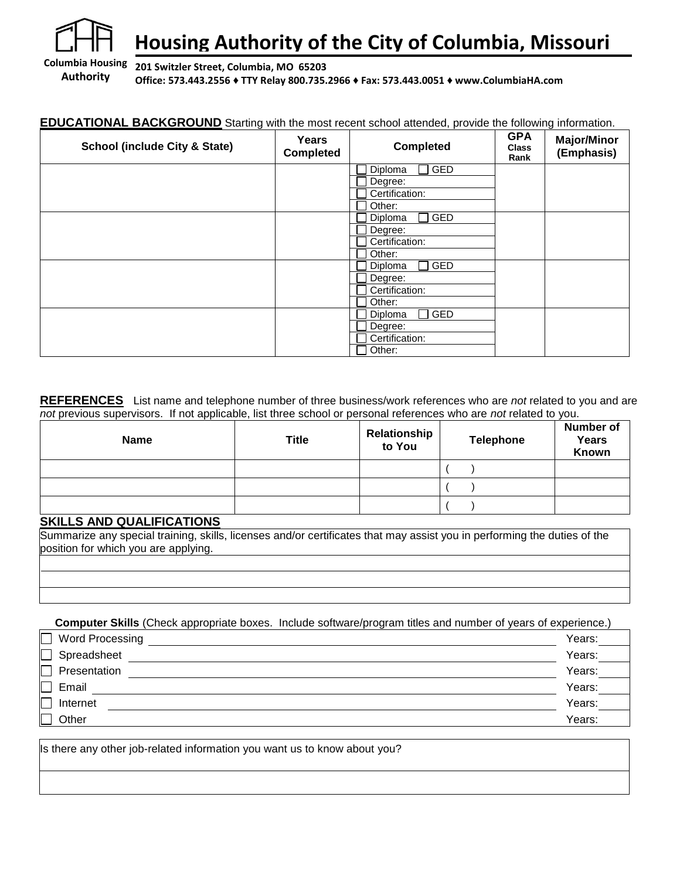

# **Housing Authority of the City of Columbia, Missouri**

**Authority 201 Switzler Street, Columbia, MO 65203 Office: 573.443.2556 ♦ TTY Relay 800.735.2966 ♦ Fax: 573.443.0051 ♦ www.ColumbiaHA.com**

#### **EDUCATIONAL BACKGROUND** Starting with the most recent school attended, provide the following information.

| <b>School (include City &amp; State)</b> | Years<br><b>Completed</b> | <b>Completed</b>            | <b>GPA</b><br><b>Class</b><br>Rank | <b>Major/Minor</b><br>(Emphasis) |
|------------------------------------------|---------------------------|-----------------------------|------------------------------------|----------------------------------|
|                                          |                           | GED<br>Diploma              |                                    |                                  |
|                                          |                           | Degree:                     |                                    |                                  |
|                                          |                           | Certification:              |                                    |                                  |
|                                          |                           | Other:                      |                                    |                                  |
|                                          |                           | GED<br>Diploma              |                                    |                                  |
|                                          |                           | Degree:                     |                                    |                                  |
|                                          |                           | Certification:              |                                    |                                  |
|                                          |                           | Other:                      |                                    |                                  |
|                                          |                           | <b>GED</b><br>Diploma<br>×. |                                    |                                  |
|                                          |                           | Degree:                     |                                    |                                  |
|                                          |                           | Certification:              |                                    |                                  |
|                                          |                           | Other:                      |                                    |                                  |
|                                          |                           | <b>GED</b><br>Diploma       |                                    |                                  |
|                                          |                           | Degree:                     |                                    |                                  |
|                                          |                           | Certification:              |                                    |                                  |
|                                          |                           | Other:                      |                                    |                                  |

**REFERENCES** List name and telephone number of three business/work references who are *not* related to you and are *not* previous supervisors. If not applicable, list three school or personal references who are *not* related to you.

| <b>Name</b> | <b>Title</b> | Relationship<br>to You | <b>Telephone</b> | <b>Number of</b><br>Years<br>Known |
|-------------|--------------|------------------------|------------------|------------------------------------|
|             |              |                        |                  |                                    |
|             |              |                        |                  |                                    |
|             |              |                        |                  |                                    |

#### **SKILLS AND QUALIFICATIONS**

Summarize any special training, skills, licenses and/or certificates that may assist you in performing the duties of the position for which you are applying.

**Computer Skills** (Check appropriate boxes. Include software/program titles and number of years of experience.)

| Word Processing | Years: |
|-----------------|--------|
| Spreadsheet     | Years: |
| Presentation    | Years: |
| Email           | Years: |
| Internet        | Years: |
| Other           | Years: |

Is there any other job-related information you want us to know about you?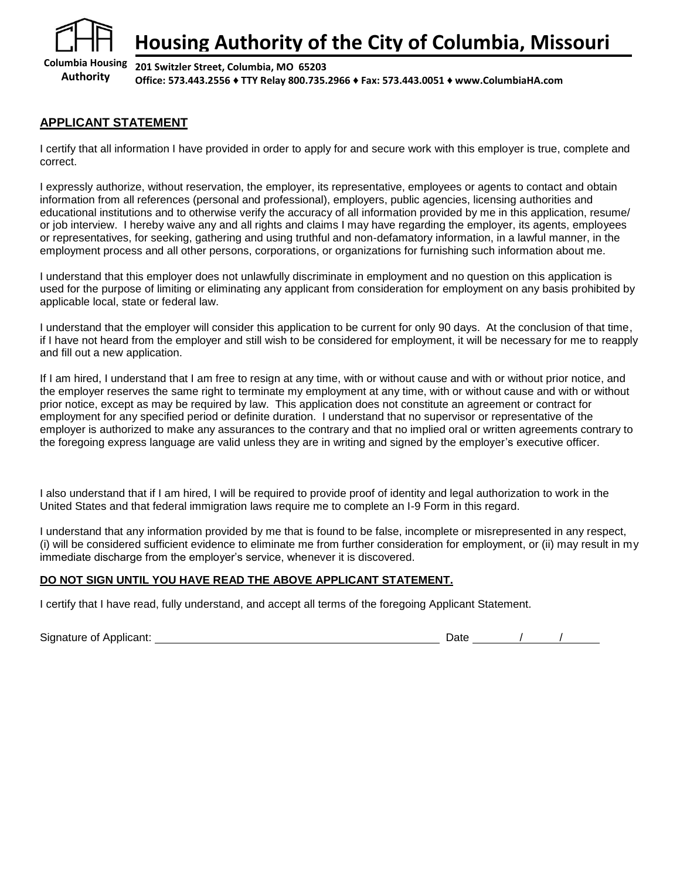

**Columbia Housing Authority 201 Switzler Street, Columbia, MO 65203 Office: 573.443.2556 ♦ TTY Relay 800.735.2966 ♦ Fax: 573.443.0051 ♦ www.ColumbiaHA.com**

### **APPLICANT STATEMENT**

I certify that all information I have provided in order to apply for and secure work with this employer is true, complete and correct.

I expressly authorize, without reservation, the employer, its representative, employees or agents to contact and obtain information from all references (personal and professional), employers, public agencies, licensing authorities and educational institutions and to otherwise verify the accuracy of all information provided by me in this application, resume/ or job interview. I hereby waive any and all rights and claims I may have regarding the employer, its agents, employees or representatives, for seeking, gathering and using truthful and non-defamatory information, in a lawful manner, in the employment process and all other persons, corporations, or organizations for furnishing such information about me.

I understand that this employer does not unlawfully discriminate in employment and no question on this application is used for the purpose of limiting or eliminating any applicant from consideration for employment on any basis prohibited by applicable local, state or federal law.

I understand that the employer will consider this application to be current for only 90 days. At the conclusion of that time, if I have not heard from the employer and still wish to be considered for employment, it will be necessary for me to reapply and fill out a new application.

If I am hired, I understand that I am free to resign at any time, with or without cause and with or without prior notice, and the employer reserves the same right to terminate my employment at any time, with or without cause and with or without prior notice, except as may be required by law. This application does not constitute an agreement or contract for employment for any specified period or definite duration. I understand that no supervisor or representative of the employer is authorized to make any assurances to the contrary and that no implied oral or written agreements contrary to the foregoing express language are valid unless they are in writing and signed by the employer's executive officer.

I also understand that if I am hired, I will be required to provide proof of identity and legal authorization to work in the United States and that federal immigration laws require me to complete an I-9 Form in this regard.

I understand that any information provided by me that is found to be false, incomplete or misrepresented in any respect, (i) will be considered sufficient evidence to eliminate me from further consideration for employment, or (ii) may result in my immediate discharge from the employer's service, whenever it is discovered.

#### **DO NOT SIGN UNTIL YOU HAVE READ THE ABOVE APPLICANT STATEMENT.**

I certify that I have read, fully understand, and accept all terms of the foregoing Applicant Statement.

Signature of Applicant:  $\begin{array}{ccc} \hline \end{array}$